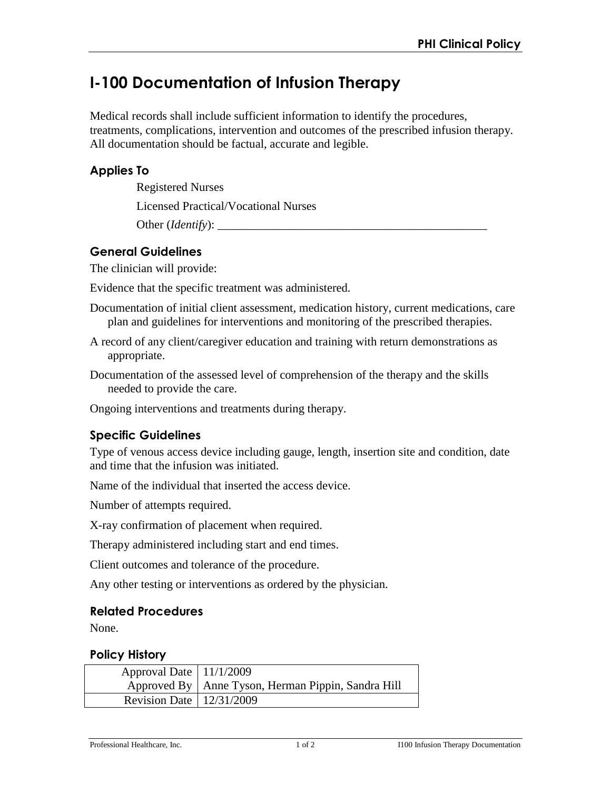# **I-100 Documentation of Infusion Therapy**

Medical records shall include sufficient information to identify the procedures, treatments, complications, intervention and outcomes of the prescribed infusion therapy. All documentation should be factual, accurate and legible.

### **Applies To**

Registered Nurses

Licensed Practical/Vocational Nurses

Other (*Identify*): \_\_\_\_\_\_\_\_\_\_\_\_\_\_\_\_\_\_\_\_\_\_\_\_\_\_\_\_\_\_\_\_\_\_\_\_\_\_\_\_\_\_\_\_\_

## **General Guidelines**

The clinician will provide:

Evidence that the specific treatment was administered.

- Documentation of initial client assessment, medication history, current medications, care plan and guidelines for interventions and monitoring of the prescribed therapies.
- A record of any client/caregiver education and training with return demonstrations as appropriate.
- Documentation of the assessed level of comprehension of the therapy and the skills needed to provide the care.

Ongoing interventions and treatments during therapy.

## **Specific Guidelines**

Type of venous access device including gauge, length, insertion site and condition, date and time that the infusion was initiated.

Name of the individual that inserted the access device.

Number of attempts required.

X-ray confirmation of placement when required.

Therapy administered including start and end times.

Client outcomes and tolerance of the procedure.

Any other testing or interventions as ordered by the physician.

#### **Related Procedures**

None.

#### **Policy History**

| Approval Date $\vert$ 11/1/2009 |                                                      |
|---------------------------------|------------------------------------------------------|
|                                 | Approved By   Anne Tyson, Herman Pippin, Sandra Hill |
| Revision Date   $12/31/2009$    |                                                      |